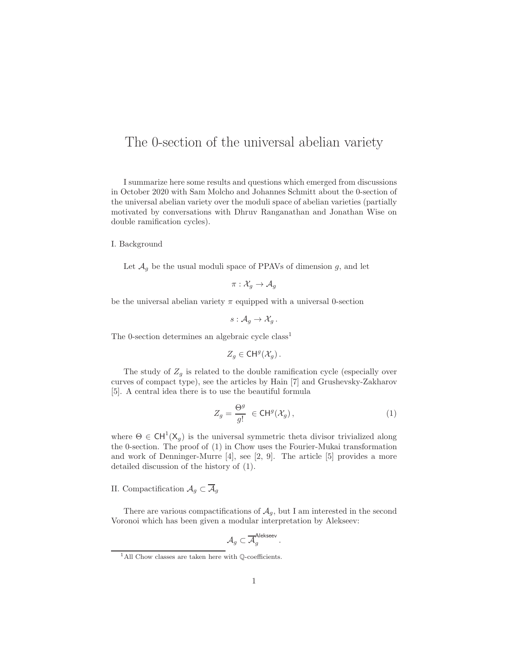## The 0-section of the universal abelian variety

I summarize here some results and questions which emerged from discussions in October 2020 with Sam Molcho and Johannes Schmitt about the 0-section of the universal abelian variety over the moduli space of abelian varieties (partially motivated by conversations with Dhruv Ranganathan and Jonathan Wise on double ramification cycles).

## I. Background

Let  $\mathcal{A}_q$  be the usual moduli space of PPAVs of dimension g, and let

$$
\pi: \mathcal{X}_g \to \mathcal{A}_g
$$

be the universal abelian variety  $\pi$  equipped with a universal 0-section

$$
s: \mathcal{A}_g \to \mathcal{X}_g.
$$

The 0-section determines an algebraic cycle class<sup>1</sup>

$$
Z_g \in \mathsf{CH}^g(\mathcal{X}_g).
$$

The study of  $Z_g$  is related to the double ramification cycle (especially over curves of compact type), see the articles by Hain [7] and Grushevsky-Zakharov [5]. A central idea there is to use the beautiful formula

$$
Z_g = \frac{\Theta^g}{g!} \in \mathsf{CH}^g(\mathcal{X}_g),\tag{1}
$$

where  $\Theta \in \text{CH}^1(\text{X}_g)$  is the universal symmetric theta divisor trivialized along the 0-section. The proof of (1) in Chow uses the Fourier-Mukai transformation and work of Denninger-Murre [4], see [2, 9]. The article [5] provides a more detailed discussion of the history of (1).

## II. Compactification  $A_g \subset A_g$

There are various compactifications of  $A<sub>g</sub>$ , but I am interested in the second Voronoi which has been given a modular interpretation by Alekseev:

$$
\mathcal{A}_g \subset \overline{\mathcal{A}}_g^{\mathsf{Alekseev}}\,.
$$

 $^1\mathrm{All}$  Chow classes are taken here with Q-coefficients.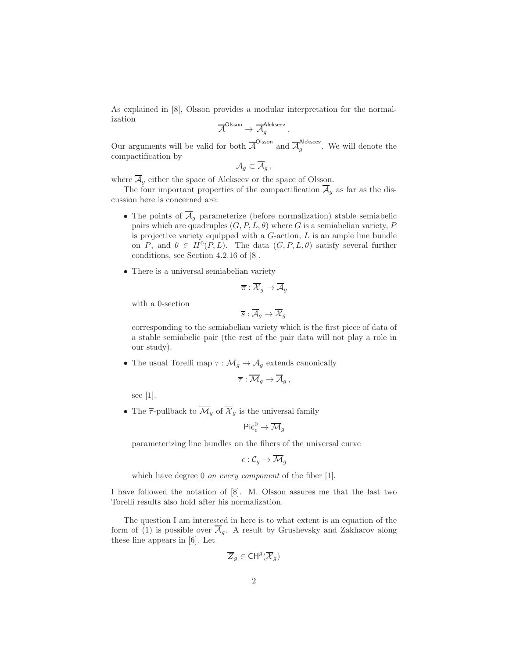As explained in [8], Olsson provides a modular interpretation for the normalization

$$
\overline{\mathcal{A}}^{\mathsf{Olsson}} \to \overline{\mathcal{A}}_g^{\mathsf{Alekseev}}.
$$

Our arguments will be valid for both  $\overline{A}^{\text{Olsson}}$  and  $\overline{A}_q^{\text{Alekseev}}$  $\frac{q}{g}$ . We will denote the compactification by

$$
\mathcal{A}_g\subset \mathcal{A}_g\,,
$$

where  $\overline{\mathcal{A}}_g$  either the space of Alekseev or the space of Olsson.

The four important properties of the compactification  $\overline{\mathcal{A}}_g$  as far as the discussion here is concerned are:

- The points of  $\overline{\mathcal{A}}_g$  parameterize (before normalization) stable semiabelic pairs which are quadruples  $(G, P, L, \theta)$  where G is a semiabelian variety, P is projective variety equipped with a  $G$ -action,  $L$  is an ample line bundle on P, and  $\theta \in H^0(P, L)$ . The data  $(G, P, L, \theta)$  satisfy several further conditions, see Section 4.2.16 of [8].
- There is a universal semiabelian variety

$$
\overline{\pi}:\overline{\mathcal{X}}_g\to\overline{\mathcal{A}}_g
$$

with a 0-section

$$
\overline{s}:\overline{\mathcal{A}}_g\rightarrow \overline{\mathcal{X}}_g
$$

corresponding to the semiabelian variety which is the first piece of data of a stable semiabelic pair (the rest of the pair data will not play a role in our study).

• The usual Torelli map  $\tau : \mathcal{M}_g \to \mathcal{A}_g$  extends canonically

$$
\overline{\tau}:\overline{\mathcal{M}}_g\to\overline{\mathcal{A}}_g,
$$

see [1].

• The  $\overline{\tau}$ -pullback to  $\overline{\mathcal{M}}_q$  of  $\overline{\mathcal{X}}_q$  is the universal family

$$
\mathsf{Pic}^0_\epsilon\to \overline{\mathcal{M}}_g
$$

parameterizing line bundles on the fibers of the universal curve

$$
\epsilon: \mathcal{C}_g \to \overline{\mathcal{M}}_g
$$

which have degree 0 *on every component* of the fiber [1].

I have followed the notation of [8]. M. Olsson assures me that the last two Torelli results also hold after his normalization.

The question I am interested in here is to what extent is an equation of the form of (1) is possible over  $\overline{\mathcal{A}}_q$ . A result by Grushevsky and Zakharov along these line appears in [6]. Let

$$
\overline{Z}_g \in \mathsf{CH}^g(\overline{\mathcal{X}}_g)
$$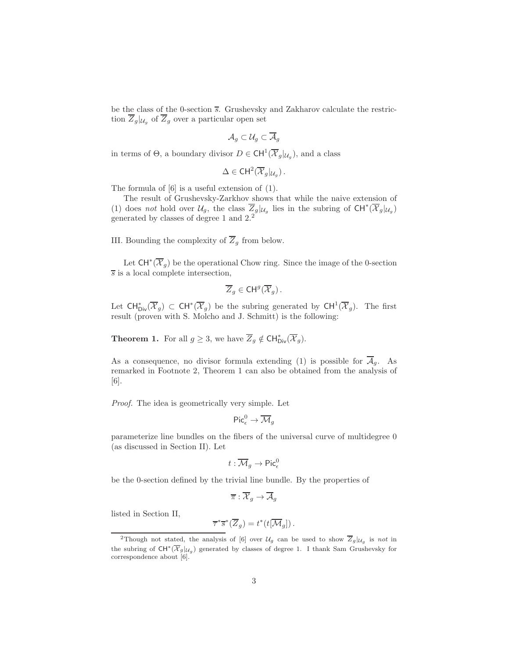be the class of the 0-section  $\overline{s}$ . Grushevsky and Zakharov calculate the restriction  $\overline{Z}_g|_{\mathcal{U}_g}$  of  $\overline{Z}_g$  over a particular open set

$$
\mathcal{A}_g\subset\mathcal{U}_g\subset\overline{\mathcal{A}}_g
$$

in terms of  $\Theta$ , a boundary divisor  $D \in \text{CH}^1(\overline{\mathcal{X}}_g|_{\mathcal{U}_g})$ , and a class

$$
\Delta \in \mathrm{CH}^2(\overline{\mathcal{X}}_g|_{\mathcal{U}_g}).
$$

The formula of [6] is a useful extension of (1).

The result of Grushevsky-Zarkhov shows that while the naive extension of (1) does not hold over  $\mathcal{U}_g$ , the class  $\overline{Z}_g|_{\mathcal{U}_g}$  lies in the subring of  $CH^*(\overline{\mathcal{X}}_g|_{\mathcal{U}_g})$ generated by classes of degree 1 and 2.<sup>2</sup>

III. Bounding the complexity of  $\overline{Z}_q$  from below.

Let  $CH^*(\overline{\mathcal{X}}_g)$  be the operational Chow ring. Since the image of the 0-section  $\overline{s}$  is a local complete intersection,

$$
\overline{Z}_g \in \mathrm{CH}^g(\overline{\mathcal{X}}_g).
$$

Let  $CH^*_{\text{Div}}(\overline{\mathcal{X}}_g) \subset CH^*(\overline{\mathcal{X}}_g)$  be the subring generated by  $CH^1(\overline{\mathcal{X}}_g)$ . The first result (proven with S. Molcho and J. Schmitt) is the following:

**Theorem 1.** For all  $g \geq 3$ , we have  $\overline{Z}_g \notin \text{CH}^*_{\text{Div}}(\overline{\mathcal{X}}_g)$ .

As a consequence, no divisor formula extending (1) is possible for  $A_g$ . As remarked in Footnote 2, Theorem 1 can also be obtained from the analysis of [6].

Proof. The idea is geometrically very simple. Let

$$
\mathsf{Pic}^0_\epsilon\to \overline{\mathcal{M}}_g
$$

parameterize line bundles on the fibers of the universal curve of multidegree 0 (as discussed in Section II). Let

$$
t:\overline{\mathcal{M}}_g\to \mathsf{Pic}^0_\epsilon
$$

be the 0-section defined by the trivial line bundle. By the properties of

$$
\overline{\pi}:\overline{\mathcal{X}}_g\to\overline{\mathcal{A}}_g
$$

listed in Section II,

$$
\overline{\tau}^*\overline{s}^*(\overline{Z}_g) = t^*(t[\overline{\mathcal{M}}_g])\,.
$$

<sup>&</sup>lt;sup>2</sup>Though not stated, the analysis of [6] over  $\mathcal{U}_g$  can be used to show  $\overline{Z}_g|_{\mathcal{U}_g}$  is not in the subring of  $CH^*(\overline{\mathcal{X}}_g|_{\mathcal{U}_g})$  generated by classes of degree 1. I thank Sam Grushevsky for correspondence about [6].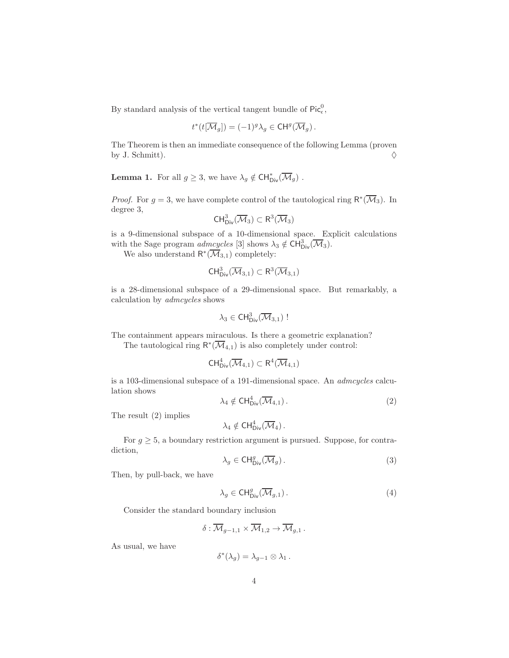By standard analysis of the vertical tangent bundle of  $\mathsf{Pic}^0_\epsilon,$ 

$$
t^*(t[\overline{\mathcal{M}}_g]) = (-1)^g \lambda_g \in \mathrm{CH}^g(\overline{\mathcal{M}}_g).
$$

The Theorem is then an immediate consequence of the following Lemma (proven by J. Schmitt).  $\diamondsuit$ 

**Lemma 1.** For all  $g \geq 3$ , we have  $\lambda_g \notin \text{CH}^*_{\text{Div}}(\overline{\mathcal{M}}_g)$ .

*Proof.* For  $g = 3$ , we have complete control of the tautological ring  $\mathsf{R}^*(\overline{\mathcal{M}}_3)$ . In degree 3,

$$
\mathsf{CH}^3_{\mathsf{Div}}(\overline{\mathcal{M}}_3)\subset \mathsf{R}^3(\overline{\mathcal{M}}_3)
$$

is a 9-dimensional subspace of a 10-dimensional space. Explicit calculations with the Sage program  $admcycles$  [3] shows  $\lambda_3 \notin CH^3_{\text{Div}}(\overline{\mathcal{M}}_3)$ .

We also understand  $\mathsf{R}^*(\overline{\mathcal{M}}_{3,1})$  completely:

$$
\text{CH}^3_{\text{Div}}(\overline{\mathcal M}_{3,1})\subset R^3(\overline{\mathcal M}_{3,1})
$$

is a 28-dimensional subspace of a 29-dimensional space. But remarkably, a calculation by admcycles shows

$$
\lambda_3\in\mathsf{CH}^3_{\mathsf{Div}}(\overline{\mathcal{M}}_{3,1})\mathrel{!}
$$

The containment appears miraculous. Is there a geometric explanation?

The tautological ring  $\mathsf{R}^*(\overline{\mathcal M}_{4,1})$  is also completely under control:

$$
CH^4_{Div}(\overline{\mathcal M}_{4,1})\subset R^4(\overline{\mathcal M}_{4,1})
$$

is a 103-dimensional subspace of a 191-dimensional space. An admcycles calculation shows

$$
\lambda_4 \notin \text{CH}^4_{\text{Div}}(\overline{\mathcal{M}}_{4,1}). \tag{2}
$$

The result (2) implies

$$
\lambda_4 \notin \mathrm{CH}^4_{\mathrm{Div}}(\overline{\mathcal{M}}_4).
$$

For  $g \geq 5$ , a boundary restriction argument is pursued. Suppose, for contradiction,

$$
\lambda_g \in \text{CH}^g_{\text{Div}}(\overline{\mathcal{M}}_g). \tag{3}
$$

Then, by pull-back, we have

$$
\lambda_g \in \mathrm{CH}^g_{\mathrm{Div}}(\overline{\mathcal{M}}_{g,1})\,. \tag{4}
$$

Consider the standard boundary inclusion

$$
\delta: \overline{\mathcal{M}}_{g-1,1} \times \overline{\mathcal{M}}_{1,2} \to \overline{\mathcal{M}}_{g,1} .
$$

As usual, we have

$$
\delta^*(\lambda_g) = \lambda_{g-1} \otimes \lambda_1.
$$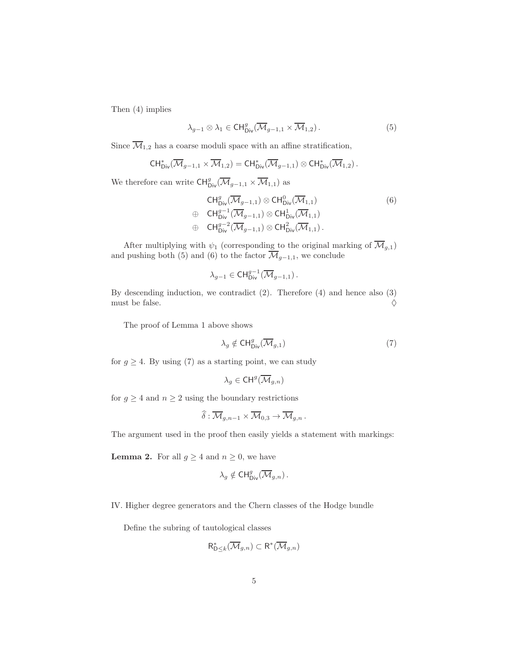Then (4) implies

$$
\lambda_{g-1} \otimes \lambda_1 \in \mathrm{CH}^g_{\mathrm{Div}}(\overline{\mathcal{M}}_{g-1,1} \times \overline{\mathcal{M}}_{1,2}). \tag{5}
$$

Since  $\overline{\mathcal{M}}_{1,2}$  has a coarse moduli space with an affine stratification,

$$
\mathsf{CH}^*_{\mathsf{Div}}(\overline{\mathcal{M}}_{g-1,1} \times \overline{\mathcal{M}}_{1,2}) = \mathsf{CH}^*_{\mathsf{Div}}(\overline{\mathcal{M}}_{g-1,1}) \otimes \mathsf{CH}^*_{\mathsf{Div}}(\overline{\mathcal{M}}_{1,2})\,.
$$

We therefore can write  $\mathsf{CH}^g_{\mathsf{Div}}(\overline{\mathcal{M}}_{g-1,1} \times \overline{\mathcal{M}}_{1,1})$  as

$$
\begin{array}{ll}\n\mathsf{CH}_{\mathsf{Div}}^{g}(\overline{\mathcal{M}}_{g-1,1}) \otimes \mathsf{CH}_{\mathsf{Div}}^{0}(\overline{\mathcal{M}}_{1,1}) \\
\oplus \quad \mathsf{CH}_{\mathsf{Div}}^{g-1}(\overline{\mathcal{M}}_{g-1,1}) \otimes \mathsf{CH}_{\mathsf{Div}}^{1}(\overline{\mathcal{M}}_{1,1}) \\
\oplus \quad \mathsf{CH}_{\mathsf{Div}}^{g-2}(\overline{\mathcal{M}}_{g-1,1}) \otimes \mathsf{CH}_{\mathsf{Div}}^{2}(\overline{\mathcal{M}}_{1,1}).\n\end{array} \tag{6}
$$

After multiplying with  $\psi_1$  (corresponding to the original marking of  $\overline{\mathcal{M}}_{g,1}$ ) and pushing both (5) and (6) to the factor  $\overline{\mathcal{M}}_{g-1,1}$ , we conclude

$$
\lambda_{g-1}\in \mathrm{CH}^{g-1}_{\mathrm{Div}}(\overline{\mathcal{M}}_{g-1,1})\,.
$$

By descending induction, we contradict (2). Therefore (4) and hence also (3) must be false.  $\Diamond$ 

The proof of Lemma 1 above shows

$$
\lambda_g \notin \text{CH}^g_{\text{Div}}(\overline{\mathcal{M}}_{g,1})
$$
\n<sup>(7)</sup>

for  $g \geq 4$ . By using (7) as a starting point, we can study

$$
\lambda_g\in \mathsf{CH}^g(\overline{\mathcal{M}}_{g,n})
$$

for  $g \geq 4$  and  $n \geq 2$  using the boundary restrictions

$$
\widehat{\delta}: \overline{\mathcal{M}}_{g,n-1} \times \overline{\mathcal{M}}_{0,3} \to \overline{\mathcal{M}}_{g,n} .
$$

The argument used in the proof then easily yields a statement with markings:

**Lemma 2.** For all  $g \geq 4$  and  $n \geq 0$ , we have

$$
\lambda_g \notin \mathrm{CH}^g_{\mathrm{Div}}(\overline{\mathcal{M}}_{g,n}).
$$

IV. Higher degree generators and the Chern classes of the Hodge bundle

Define the subring of tautological classes

$$
\mathsf{R}_{\mathsf{D}\leq k}^*(\overline{\mathcal{M}}_{g,n})\subset\mathsf{R}^*(\overline{\mathcal{M}}_{g,n})
$$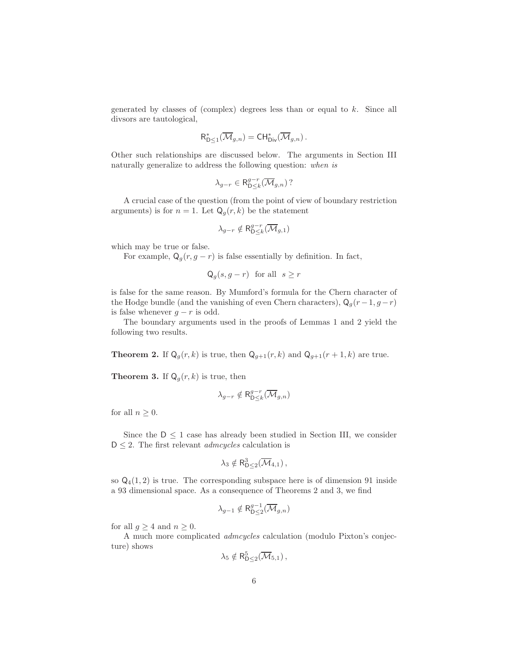generated by classes of (complex) degrees less than or equal to  $k$ . Since all divsors are tautological,

$$
\mathsf{R}_{\mathsf{D}\leq 1}^*(\overline{\mathcal{M}}_{g,n})=\mathsf{CH}^*_{\mathsf{Div}}(\overline{\mathcal{M}}_{g,n}).
$$

Other such relationships are discussed below. The arguments in Section III naturally generalize to address the following question: when is

$$
\lambda_{g-r} \in \mathsf{R}_{\mathsf{D}\leq k}^{g-r}(\overline{\mathcal{M}}_{g,n})?
$$

A crucial case of the question (from the point of view of boundary restriction arguments) is for  $n = 1$ . Let  $\mathsf{Q}_g(r, k)$  be the statement

$$
\lambda_{g-r}\notin\mathsf{R}^{g-r}_{\mathsf{D}\leq k}(\overline{\mathcal{M}}_{g,1})
$$

which may be true or false.

For example,  $Q_q(r, g - r)$  is false essentially by definition. In fact,

$$
Q_g(s, g - r)
$$
 for all  $s \geq r$ 

is false for the same reason. By Mumford's formula for the Chern character of the Hodge bundle (and the vanishing of even Chern characters),  $Q_q(r-1, g-r)$ is false whenever  $q - r$  is odd.

The boundary arguments used in the proofs of Lemmas 1 and 2 yield the following two results.

**Theorem 2.** If  $Q_g(r, k)$  is true, then  $Q_{g+1}(r, k)$  and  $Q_{g+1}(r + 1, k)$  are true.

**Theorem 3.** If  $Q_g(r, k)$  is true, then

$$
\lambda_{g-r} \notin \mathsf{R}_{\mathsf{D}\leq k}^{g-r}(\overline{\mathcal{M}}_{g,n})
$$

for all  $n \geq 0$ .

Since the  $D \leq 1$  case has already been studied in Section III, we consider  $D \leq 2$ . The first relevant *admcycles* calculation is

$$
\lambda_3 \notin R^3_{D \leq 2}(\overline{\mathcal{M}}_{4,1}),
$$

so  $Q_4(1, 2)$  is true. The corresponding subspace here is of dimension 91 inside a 93 dimensional space. As a consequence of Theorems 2 and 3, we find

$$
\lambda_{g-1}\notin\mathsf{R}_{\mathsf{D}\leq 2}^{g-1}(\overline{\mathcal{M}}_{g,n})
$$

for all  $g \geq 4$  and  $n \geq 0$ .

A much more complicated admcycles calculation (modulo Pixton's conjecture) shows

$$
\lambda_5 \notin \mathsf{R}_{\mathsf{D}\leq 2}^5(\overline{\mathcal{M}}_{5,1})\,,
$$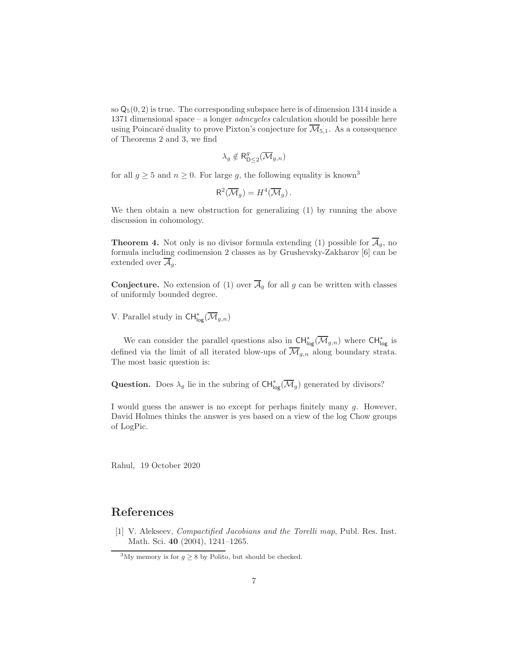so  $\mathsf{Q}_5(0,2)$  is true. The corresponding subspace here is of dimension 1314 inside a 1371 dimensional space – a longer admcycles calculation should be possible here using Poincaré duality to prove Pixton's conjecture for  $\mathcal{M}_{5,1}$ . As a consequence of Theorems 2 and 3, we find

$$
\lambda_g \notin \mathsf{R}_{\mathsf{D}\leq 2}^g(\overline{\mathcal{M}}_{g,n})
$$

for all  $g \geq 5$  and  $n \geq 0$ . For large g, the following equality is known<sup>3</sup>

$$
\mathsf{R}^2(\overline{\mathcal{M}}_g) = H^4(\overline{\mathcal{M}}_g).
$$

We then obtain a new obstruction for generalizing (1) by running the above discussion in cohomology.

**Theorem 4.** Not only is no divisor formula extending (1) possible for  $A_g$ , no formula including codimension 2 classes as by Grushevsky-Zakharov [6] can be extended over  $\overline{\mathcal{A}}_a$ .

**Conjecture.** No extension of (1) over  $\overline{\mathcal{A}}_q$  for all g can be written with classes of uniformly bounded degree.

V. Parallel study in  $\mathsf{CH}^*_{\mathsf{log}}(\overline{\mathcal{M}}_{g,n})$ 

We can consider the parallel questions also in  $\text{CH}^*_{\text{log}}(\overline{\mathcal{M}}_{g,n})$  where  $\text{CH}^*_{\text{log}}$  is defined via the limit of all iterated blow-ups of  $\overline{\mathcal{M}}_{g,n}$  along boundary strata. The most basic question is:

**Question.** Does  $\lambda_g$  lie in the subring of  $\text{CH}^*_{\text{log}}(\overline{\mathcal{M}}_g)$  generated by divisors?

I would guess the answer is no except for perhaps finitely many g. However, David Holmes thinks the answer is yes based on a view of the log Chow groups of LogPic.

Rahul, 19 October 2020

## References

[1] V. Alekseev, Compactified Jacobians and the Torelli map, Publ. Res. Inst. Math. Sci. 40 (2004), 1241–1265.

<sup>&</sup>lt;sup>3</sup>My memory is for  $g \geq 8$  by Polito, but should be checked.